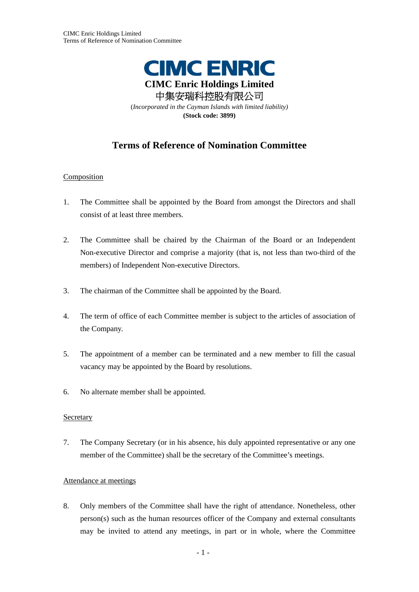

# **Terms of Reference of Nomination Committee**

## **Composition**

- 1. The Committee shall be appointed by the Board from amongst the Directors and shall consist of at least three members.
- 2. The Committee shall be chaired by the Chairman of the Board or an Independent Non-executive Director and comprise a majority (that is, not less than two-third of the members) of Independent Non-executive Directors.
- 3. The chairman of the Committee shall be appointed by the Board.
- 4. The term of office of each Committee member is subject to the articles of association of the Company.
- 5. The appointment of a member can be terminated and a new member to fill the casual vacancy may be appointed by the Board by resolutions.
- 6. No alternate member shall be appointed.

## Secretary

7. The Company Secretary (or in his absence, his duly appointed representative or any one member of the Committee) shall be the secretary of the Committee's meetings.

## Attendance at meetings

8. Only members of the Committee shall have the right of attendance. Nonetheless, other person(s) such as the human resources officer of the Company and external consultants may be invited to attend any meetings, in part or in whole, where the Committee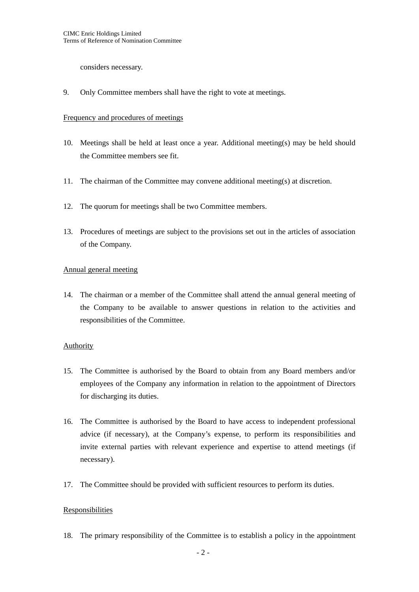considers necessary.

9. Only Committee members shall have the right to vote at meetings.

#### Frequency and procedures of meetings

- 10. Meetings shall be held at least once a year. Additional meeting(s) may be held should the Committee members see fit.
- 11. The chairman of the Committee may convene additional meeting(s) at discretion.
- 12. The quorum for meetings shall be two Committee members.
- 13. Procedures of meetings are subject to the provisions set out in the articles of association of the Company.

## Annual general meeting

14. The chairman or a member of the Committee shall attend the annual general meeting of the Company to be available to answer questions in relation to the activities and responsibilities of the Committee.

## Authority

- 15. The Committee is authorised by the Board to obtain from any Board members and/or employees of the Company any information in relation to the appointment of Directors for discharging its duties.
- 16. The Committee is authorised by the Board to have access to independent professional advice (if necessary), at the Company's expense, to perform its responsibilities and invite external parties with relevant experience and expertise to attend meetings (if necessary).
- 17. The Committee should be provided with sufficient resources to perform its duties.

## Responsibilities

18. The primary responsibility of the Committee is to establish a policy in the appointment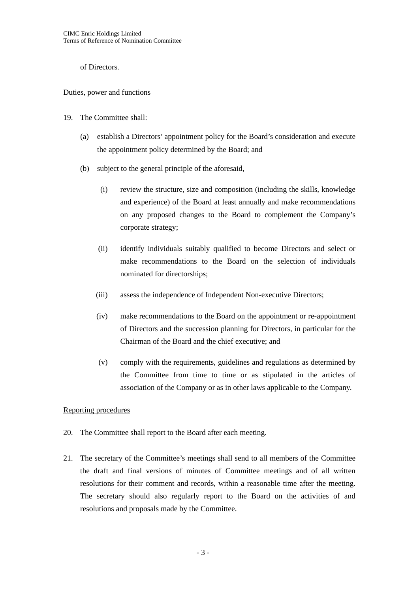of Directors.

## Duties, power and functions

- 19. The Committee shall:
	- (a) establish a Directors' appointment policy for the Board's consideration and execute the appointment policy determined by the Board; and
	- (b) subject to the general principle of the aforesaid,
		- (i) review the structure, size and composition (including the skills, knowledge and experience) of the Board at least annually and make recommendations on any proposed changes to the Board to complement the Company's corporate strategy;
		- (ii) identify individuals suitably qualified to become Directors and select or make recommendations to the Board on the selection of individuals nominated for directorships;
		- (iii) assess the independence of Independent Non-executive Directors;
		- (iv) make recommendations to the Board on the appointment or re-appointment of Directors and the succession planning for Directors, in particular for the Chairman of the Board and the chief executive; and
		- (v) comply with the requirements, guidelines and regulations as determined by the Committee from time to time or as stipulated in the articles of association of the Company or as in other laws applicable to the Company.

## Reporting procedures

- 20. The Committee shall report to the Board after each meeting.
- 21. The secretary of the Committee's meetings shall send to all members of the Committee the draft and final versions of minutes of Committee meetings and of all written resolutions for their comment and records, within a reasonable time after the meeting. The secretary should also regularly report to the Board on the activities of and resolutions and proposals made by the Committee.